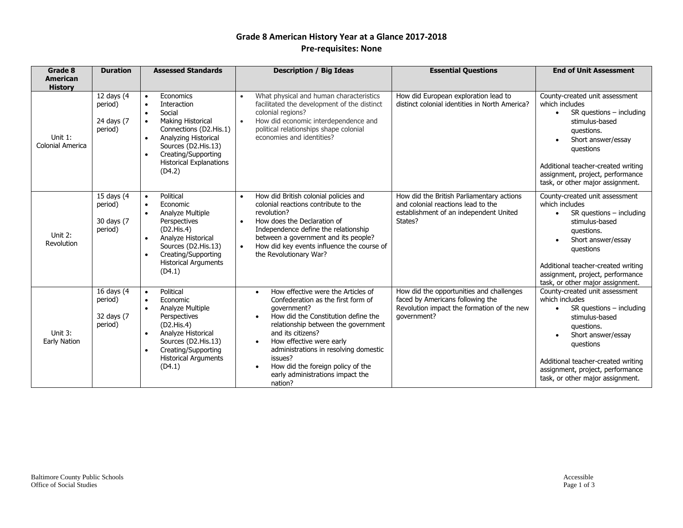## **Grade 8 American History Year at a Glance 2017-2018 Pre-requisites: None**

| Grade 8<br><b>American</b>  | <b>Duration</b>                                | <b>Assessed Standards</b>                                                                                                                                                                                                                                                   | <b>Description / Big Ideas</b>                                                                                                                                                                                                                                                                                                                                                                        | <b>Essential Questions</b>                                                                                                                | <b>End of Unit Assessment</b>                                                                                                                                                                                                                                                  |
|-----------------------------|------------------------------------------------|-----------------------------------------------------------------------------------------------------------------------------------------------------------------------------------------------------------------------------------------------------------------------------|-------------------------------------------------------------------------------------------------------------------------------------------------------------------------------------------------------------------------------------------------------------------------------------------------------------------------------------------------------------------------------------------------------|-------------------------------------------------------------------------------------------------------------------------------------------|--------------------------------------------------------------------------------------------------------------------------------------------------------------------------------------------------------------------------------------------------------------------------------|
| <b>History</b>              |                                                |                                                                                                                                                                                                                                                                             |                                                                                                                                                                                                                                                                                                                                                                                                       |                                                                                                                                           |                                                                                                                                                                                                                                                                                |
| Unit 1:<br>Colonial America | 12 days (4<br>period)<br>24 days (7<br>period) | Economics<br>$\bullet$<br>Interaction<br>$\bullet$<br>Social<br>$\bullet$<br><b>Making Historical</b><br>$\bullet$<br>Connections (D2.His.1)<br>Analyzing Historical<br>$\bullet$<br>Sources (D2.His.13)<br>Creating/Supporting<br><b>Historical Explanations</b><br>(D4.2) | What physical and human characteristics<br>$\bullet$<br>facilitated the development of the distinct<br>colonial regions?<br>How did economic interdependence and<br>political relationships shape colonial<br>economies and identities?                                                                                                                                                               | How did European exploration lead to<br>distinct colonial identities in North America?                                                    | County-created unit assessment<br>which includes<br>$SR$ questions $-$ including<br>$\bullet$<br>stimulus-based<br>questions.<br>Short answer/essay<br>questions<br>Additional teacher-created writing<br>assignment, project, performance<br>task, or other major assignment. |
| Unit 2:<br>Revolution       | 15 days (4<br>period)<br>30 days (7<br>period) | Political<br>$\bullet$<br>Economic<br>$\bullet$<br>Analyze Multiple<br>$\bullet$<br>Perspectives<br>(D2.His.4)<br>Analyze Historical<br>$\bullet$<br>Sources (D2.His.13)<br>Creating/Supporting<br>$\bullet$<br><b>Historical Arguments</b><br>(D4.1)                       | How did British colonial policies and<br>$\bullet$<br>colonial reactions contribute to the<br>revolution?<br>How does the Declaration of<br>$\bullet$<br>Independence define the relationship<br>between a government and its people?<br>How did key events influence the course of<br>$\bullet$<br>the Revolutionary War?                                                                            | How did the British Parliamentary actions<br>and colonial reactions lead to the<br>establishment of an independent United<br>States?      | County-created unit assessment<br>which includes<br>$SR$ questions $-$ including<br>$\bullet$<br>stimulus-based<br>questions.<br>Short answer/essay<br>questions<br>Additional teacher-created writing<br>assignment, project, performance<br>task, or other major assignment. |
| Unit 3:<br>Early Nation     | 16 days (4<br>period)<br>32 days (7<br>period) | Political<br>$\bullet$<br>Economic<br>$\bullet$<br>Analyze Multiple<br>$\bullet$<br>Perspectives<br>(D2.His.4)<br>Analyze Historical<br>$\bullet$<br>Sources (D2.His.13)<br>Creating/Supporting<br>$\bullet$<br><b>Historical Arguments</b><br>(D4.1)                       | How effective were the Articles of<br>$\bullet$<br>Confederation as the first form of<br>qovernment?<br>How did the Constitution define the<br>relationship between the government<br>and its citizens?<br>How effective were early<br>$\bullet$<br>administrations in resolving domestic<br>issues?<br>How did the foreign policy of the<br>$\bullet$<br>early administrations impact the<br>nation? | How did the opportunities and challenges<br>faced by Americans following the<br>Revolution impact the formation of the new<br>qovernment? | County-created unit assessment<br>which includes<br>$SR$ questions $-$ including<br>$\bullet$<br>stimulus-based<br>questions.<br>Short answer/essay<br>questions<br>Additional teacher-created writing<br>assignment, project, performance<br>task, or other major assignment. |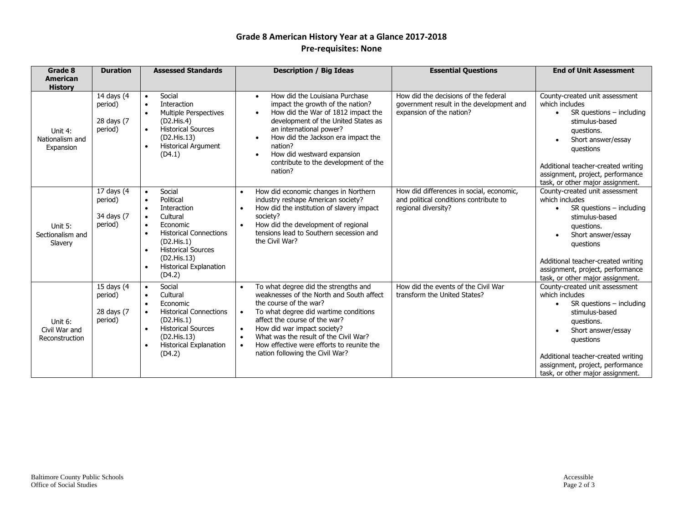## **Grade 8 American History Year at a Glance 2017-2018 Pre-requisites: None**

| Grade 8                                    | <b>Duration</b>                                | <b>Assessed Standards</b>                                                                                                                                                                                                                                                                                | <b>Description / Big Ideas</b>                                                                                                                                                                                                                                                                                                                                                                   | <b>Essential Questions</b>                                                                                   | <b>End of Unit Assessment</b>                                                                                                                                                                                                                                                               |
|--------------------------------------------|------------------------------------------------|----------------------------------------------------------------------------------------------------------------------------------------------------------------------------------------------------------------------------------------------------------------------------------------------------------|--------------------------------------------------------------------------------------------------------------------------------------------------------------------------------------------------------------------------------------------------------------------------------------------------------------------------------------------------------------------------------------------------|--------------------------------------------------------------------------------------------------------------|---------------------------------------------------------------------------------------------------------------------------------------------------------------------------------------------------------------------------------------------------------------------------------------------|
| <b>American</b><br><b>History</b>          |                                                |                                                                                                                                                                                                                                                                                                          |                                                                                                                                                                                                                                                                                                                                                                                                  |                                                                                                              |                                                                                                                                                                                                                                                                                             |
| Unit 4:<br>Nationalism and<br>Expansion    | 14 days (4<br>period)<br>28 days (7<br>period) | Social<br>$\bullet$<br><b>Interaction</b><br>$\bullet$<br>Multiple Perspectives<br>$\bullet$<br>(D2.His.4)<br><b>Historical Sources</b><br>$\bullet$<br>(D2.His.13)<br>Historical Argument<br>$\bullet$<br>(D4.1)                                                                                        | How did the Louisiana Purchase<br>$\bullet$<br>impact the growth of the nation?<br>How did the War of 1812 impact the<br>$\bullet$<br>development of the United States as<br>an international power?<br>How did the Jackson era impact the<br>nation?<br>How did westward expansion<br>$\bullet$<br>contribute to the development of the<br>nation?                                              | How did the decisions of the federal<br>government result in the development and<br>expansion of the nation? | County-created unit assessment<br>which includes<br>$SR$ questions $-$ including<br>$\bullet$<br>stimulus-based<br>questions.<br>Short answer/essay<br>$\bullet$<br>questions<br>Additional teacher-created writing<br>assignment, project, performance<br>task, or other major assignment. |
| Unit 5:<br>Sectionalism and<br>Slavery     | 17 days (4<br>period)<br>34 days (7<br>period) | Social<br>$\bullet$<br>Political<br>$\bullet$<br>Interaction<br>$\bullet$<br>Cultural<br>$\bullet$<br>Economic<br>$\bullet$<br><b>Historical Connections</b><br>$\bullet$<br>(D2.His.1)<br><b>Historical Sources</b><br>$\bullet$<br>(D2.His.13)<br><b>Historical Explanation</b><br>$\bullet$<br>(D4.2) | How did economic changes in Northern<br>$\bullet$<br>industry reshape American society?<br>How did the institution of slavery impact<br>$\bullet$<br>society?<br>How did the development of regional<br>$\bullet$<br>tensions lead to Southern secession and<br>the Civil War?                                                                                                                   | How did differences in social, economic,<br>and political conditions contribute to<br>regional diversity?    | County-created unit assessment<br>which includes<br>$SR$ questions $-$ including<br>stimulus-based<br>questions.<br>Short answer/essay<br>questions<br>Additional teacher-created writing<br>assignment, project, performance<br>task, or other major assignment.                           |
| Unit 6:<br>Civil War and<br>Reconstruction | 15 days (4<br>period)<br>28 days (7<br>period) | Social<br>$\bullet$<br>Cultural<br>$\bullet$<br>Economic<br>$\bullet$<br><b>Historical Connections</b><br>$\bullet$<br>(D2.His.1)<br><b>Historical Sources</b><br>$\bullet$<br>(D2.His.13)<br><b>Historical Explanation</b><br>$\bullet$<br>(D4.2)                                                       | To what degree did the strengths and<br>weaknesses of the North and South affect<br>the course of the war?<br>To what degree did wartime conditions<br>$\bullet$<br>affect the course of the war?<br>How did war impact society?<br>$\bullet$<br>What was the result of the Civil War?<br>$\bullet$<br>How effective were efforts to reunite the<br>$\bullet$<br>nation following the Civil War? | How did the events of the Civil War<br>transform the United States?                                          | County-created unit assessment<br>which includes<br>$SR$ questions $-$ including<br>$\bullet$<br>stimulus-based<br>questions.<br>Short answer/essay<br>$\bullet$<br>questions<br>Additional teacher-created writing<br>assignment, project, performance<br>task, or other major assignment. |